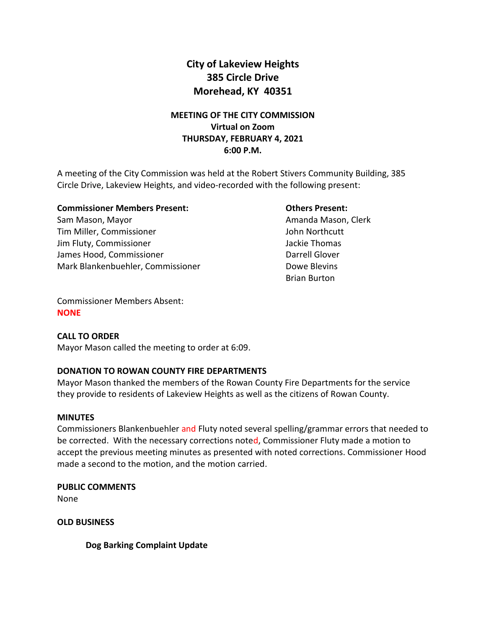# **City of Lakeview Heights 385 Circle Drive Morehead, KY 40351**

## **MEETING OF THE CITY COMMISSION Virtual on Zoom THURSDAY, FEBRUARY 4, 2021 6:00 P.M.**

A meeting of the City Commission was held at the Robert Stivers Community Building, 385 Circle Drive, Lakeview Heights, and video-recorded with the following present:

## **Commissioner Members Present: Others Present:**

Sam Mason, Mayor **Amanda Mason, Clerk** Amanda Mason, Clerk Tim Miller, Commissioner **John Northcutt** Jim Fluty, Commissioner **Jackie Thomas** Jackie Thomas James Hood, Commissioner **Darrell Glover** Darrell Glover Mark Blankenbuehler, Commissioner **Dowe Bleys** Dowe Blevins

Brian Burton

Commissioner Members Absent: **NONE**

## **CALL TO ORDER**

Mayor Mason called the meeting to order at 6:09.

## **DONATION TO ROWAN COUNTY FIRE DEPARTMENTS**

Mayor Mason thanked the members of the Rowan County Fire Departments for the service they provide to residents of Lakeview Heights as well as the citizens of Rowan County.

## **MINUTES**

Commissioners Blankenbuehler and Fluty noted several spelling/grammar errors that needed to be corrected. With the necessary corrections noted, Commissioner Fluty made a motion to accept the previous meeting minutes as presented with noted corrections. Commissioner Hood made a second to the motion, and the motion carried.

**PUBLIC COMMENTS** None

**OLD BUSINESS** 

**Dog Barking Complaint Update**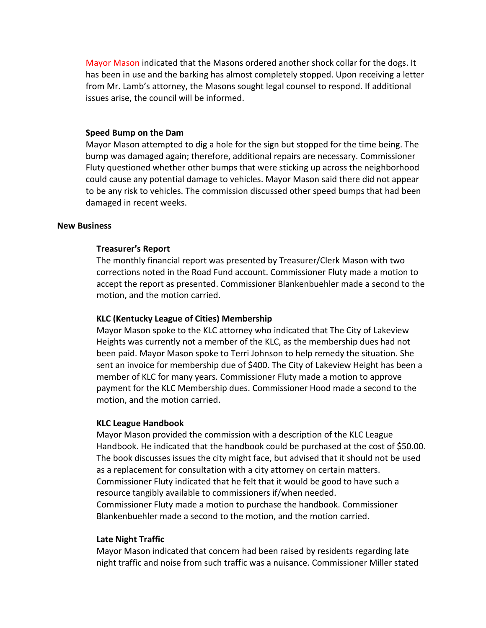Mayor Mason indicated that the Masons ordered another shock collar for the dogs. It has been in use and the barking has almost completely stopped. Upon receiving a letter from Mr. Lamb's attorney, the Masons sought legal counsel to respond. If additional issues arise, the council will be informed.

#### **Speed Bump on the Dam**

Mayor Mason attempted to dig a hole for the sign but stopped for the time being. The bump was damaged again; therefore, additional repairs are necessary. Commissioner Fluty questioned whether other bumps that were sticking up across the neighborhood could cause any potential damage to vehicles. Mayor Mason said there did not appear to be any risk to vehicles. The commission discussed other speed bumps that had been damaged in recent weeks.

#### **New Business**

#### **Treasurer's Report**

The monthly financial report was presented by Treasurer/Clerk Mason with two corrections noted in the Road Fund account. Commissioner Fluty made a motion to accept the report as presented. Commissioner Blankenbuehler made a second to the motion, and the motion carried.

### **KLC (Kentucky League of Cities) Membership**

Mayor Mason spoke to the KLC attorney who indicated that The City of Lakeview Heights was currently not a member of the KLC, as the membership dues had not been paid. Mayor Mason spoke to Terri Johnson to help remedy the situation. She sent an invoice for membership due of \$400. The City of Lakeview Height has been a member of KLC for many years. Commissioner Fluty made a motion to approve payment for the KLC Membership dues. Commissioner Hood made a second to the motion, and the motion carried.

#### **KLC League Handbook**

Mayor Mason provided the commission with a description of the KLC League Handbook. He indicated that the handbook could be purchased at the cost of \$50.00. The book discusses issues the city might face, but advised that it should not be used as a replacement for consultation with a city attorney on certain matters. Commissioner Fluty indicated that he felt that it would be good to have such a resource tangibly available to commissioners if/when needed. Commissioner Fluty made a motion to purchase the handbook. Commissioner Blankenbuehler made a second to the motion, and the motion carried.

#### **Late Night Traffic**

Mayor Mason indicated that concern had been raised by residents regarding late night traffic and noise from such traffic was a nuisance. Commissioner Miller stated